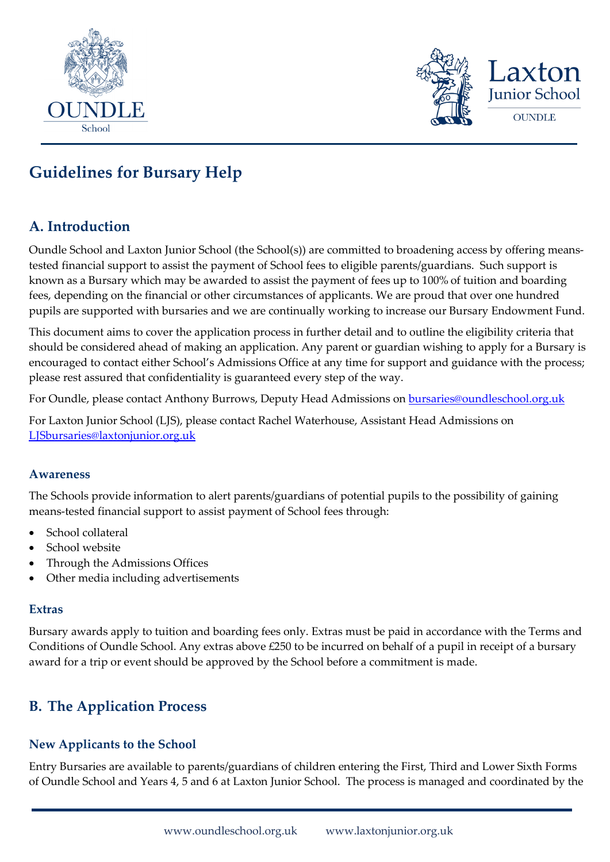



# **Guidelines for Bursary Help**

### **A. Introduction**

Oundle School and Laxton Junior School (the School(s)) are committed to broadening access by offering meanstested financial support to assist the payment of School fees to eligible parents/guardians. Such support is known as a Bursary which may be awarded to assist the payment of fees up to 100% of tuition and boarding fees, depending on the financial or other circumstances of applicants. We are proud that over one hundred pupils are supported with bursaries and we are continually working to increase our Bursary Endowment Fund.

This document aims to cover the application process in further detail and to outline the eligibility criteria that should be considered ahead of making an application. Any parent or guardian wishing to apply for a Bursary is encouraged to contact either School's Admissions Office at any time for support and guidance with the process; please rest assured that confidentiality is guaranteed every step of the way.

For Oundle, please contact Anthony Burrows, Deputy Head Admissions on **bursaries@oundleschool.org.uk** 

For Laxton Junior School (LJS), please contact Rachel Waterhouse, Assistant Head Admissions on [LJSbursaries@laxtonjunior.org.uk](mailto:LJSbursaries@laxtonjunior.org.uk)

#### **Awareness**

The Schools provide information to alert parents/guardians of potential pupils to the possibility of gaining means-tested financial support to assist payment of School fees through:

- School collateral
- School website
- Through the Admissions Offices
- Other media including advertisements

#### **Extras**

Bursary awards apply to tuition and boarding fees only. Extras must be paid in accordance with the Terms and Conditions of Oundle School. Any extras above £250 to be incurred on behalf of a pupil in receipt of a bursary award for a trip or event should be approved by the School before a commitment is made.

### **B. The Application Process**

### **New Applicants to the School**

Entry Bursaries are available to parents/guardians of children entering the First, Third and Lower Sixth Forms of Oundle School and Years 4, 5 and 6 at Laxton Junior School.The process is managed and coordinated by the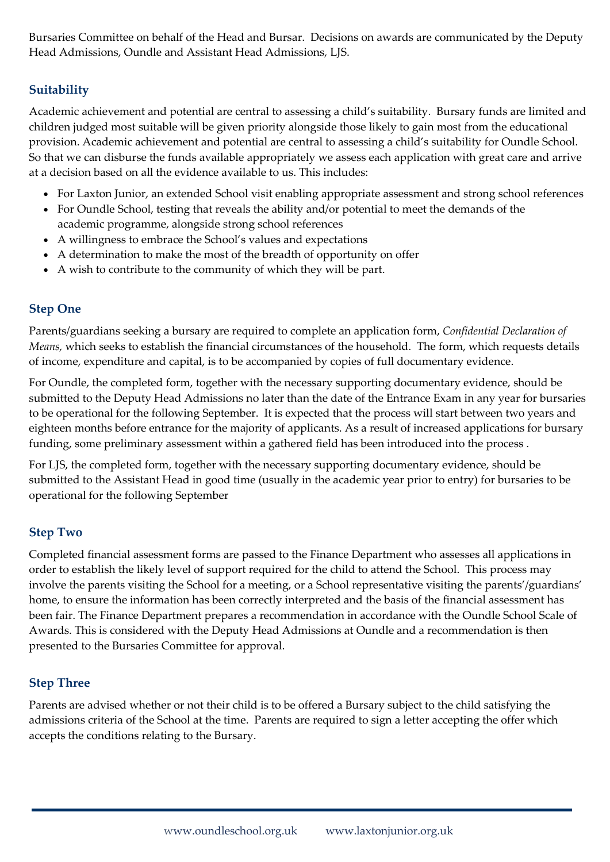Bursaries Committee on behalf of the Head and Bursar. Decisions on awards are communicated by the Deputy Head Admissions, Oundle and Assistant Head Admissions, LJS.

### **Suitability**

Academic achievement and potential are central to assessing a child's suitability. Bursary funds are limited and children judged most suitable will be given priority alongside those likely to gain most from the educational provision. Academic achievement and potential are central to assessing a child's suitability for Oundle School. So that we can disburse the funds available appropriately we assess each application with great care and arrive at a decision based on all the evidence available to us. This includes:

- For Laxton Junior, an extended School visit enabling appropriate assessment and strong school references
- For Oundle School, testing that reveals the ability and/or potential to meet the demands of the academic programme, alongside strong school references
- A willingness to embrace the School's values and expectations
- A determination to make the most of the breadth of opportunity on offer
- A wish to contribute to the community of which they will be part.

### **Step One**

Parents/guardians seeking a bursary are required to complete an application form, *Confidential Declaration of Means,* which seeks to establish the financial circumstances of the household. The form, which requests details of income, expenditure and capital, is to be accompanied by copies of full documentary evidence.

For Oundle, the completed form, together with the necessary supporting documentary evidence, should be submitted to the Deputy Head Admissions no later than the date of the Entrance Exam in any year for bursaries to be operational for the following September. It is expected that the process will start between two years and eighteen months before entrance for the majority of applicants. As a result of increased applications for bursary funding, some preliminary assessment within a gathered field has been introduced into the process .

For LJS, the completed form, together with the necessary supporting documentary evidence, should be submitted to the Assistant Head in good time (usually in the academic year prior to entry) for bursaries to be operational for the following September

### **Step Two**

Completed financial assessment forms are passed to the Finance Department who assesses all applications in order to establish the likely level of support required for the child to attend the School. This process may involve the parents visiting the School for a meeting, or a School representative visiting the parents'/guardians' home, to ensure the information has been correctly interpreted and the basis of the financial assessment has been fair. The Finance Department prepares a recommendation in accordance with the Oundle School Scale of Awards. This is considered with the Deputy Head Admissions at Oundle and a recommendation is then presented to the Bursaries Committee for approval.

### **Step Three**

Parents are advised whether or not their child is to be offered a Bursary subject to the child satisfying the admissions criteria of the School at the time. Parents are required to sign a letter accepting the offer which accepts the conditions relating to the Bursary.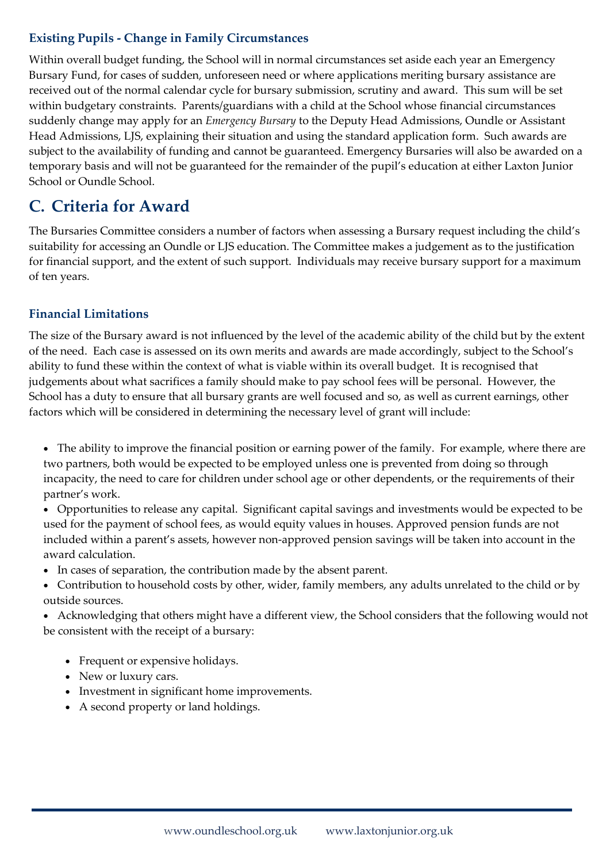### **Existing Pupils - Change in Family Circumstances**

Within overall budget funding, the School will in normal circumstances set aside each year an Emergency Bursary Fund, for cases of sudden, unforeseen need or where applications meriting bursary assistance are received out of the normal calendar cycle for bursary submission, scrutiny and award. This sum will be set within budgetary constraints. Parents/guardians with a child at the School whose financial circumstances suddenly change may apply for an *Emergency Bursary* to the Deputy Head Admissions, Oundle or Assistant Head Admissions, LJS, explaining their situation and using the standard application form. Such awards are subject to the availability of funding and cannot be guaranteed. Emergency Bursaries will also be awarded on a temporary basis and will not be guaranteed for the remainder of the pupil's education at either Laxton Junior School or Oundle School.

### **C. Criteria for Award**

The Bursaries Committee considers a number of factors when assessing a Bursary request including the child's suitability for accessing an Oundle or LJS education. The Committee makes a judgement as to the justification for financial support, and the extent of such support. Individuals may receive bursary support for a maximum of ten years.

### **Financial Limitations**

The size of the Bursary award is not influenced by the level of the academic ability of the child but by the extent of the need. Each case is assessed on its own merits and awards are made accordingly, subject to the School's ability to fund these within the context of what is viable within its overall budget. It is recognised that judgements about what sacrifices a family should make to pay school fees will be personal. However, the School has a duty to ensure that all bursary grants are well focused and so, as well as current earnings, other factors which will be considered in determining the necessary level of grant will include:

- The ability to improve the financial position or earning power of the family. For example, where there are two partners, both would be expected to be employed unless one is prevented from doing so through incapacity, the need to care for children under school age or other dependents, or the requirements of their partner's work.
- Opportunities to release any capital. Significant capital savings and investments would be expected to be used for the payment of school fees, as would equity values in houses. Approved pension funds are not included within a parent's assets, however non-approved pension savings will be taken into account in the award calculation.
- In cases of separation, the contribution made by the absent parent.
- Contribution to household costs by other, wider, family members, any adults unrelated to the child or by outside sources.
- Acknowledging that others might have a different view, the School considers that the following would not be consistent with the receipt of a bursary:
	- Frequent or expensive holidays.
	- New or luxury cars.
	- Investment in significant home improvements.
	- A second property or land holdings.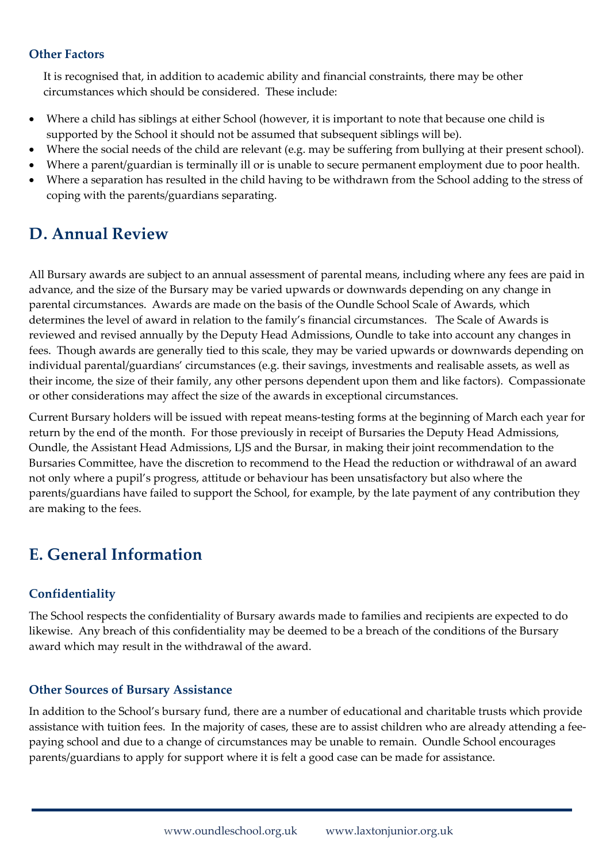#### **Other Factors**

It is recognised that, in addition to academic ability and financial constraints, there may be other circumstances which should be considered. These include:

- Where a child has siblings at either School (however, it is important to note that because one child is supported by the School it should not be assumed that subsequent siblings will be).
- Where the social needs of the child are relevant (e.g. may be suffering from bullying at their present school).
- Where a parent/guardian is terminally ill or is unable to secure permanent employment due to poor health.
- Where a separation has resulted in the child having to be withdrawn from the School adding to the stress of coping with the parents/guardians separating.

## **D. Annual Review**

All Bursary awards are subject to an annual assessment of parental means, including where any fees are paid in advance, and the size of the Bursary may be varied upwards or downwards depending on any change in parental circumstances. Awards are made on the basis of the Oundle School Scale of Awards, which determines the level of award in relation to the family's financial circumstances. The Scale of Awards is reviewed and revised annually by the Deputy Head Admissions, Oundle to take into account any changes in fees. Though awards are generally tied to this scale, they may be varied upwards or downwards depending on individual parental/guardians' circumstances (e.g. their savings, investments and realisable assets, as well as their income, the size of their family, any other persons dependent upon them and like factors). Compassionate or other considerations may affect the size of the awards in exceptional circumstances.

Current Bursary holders will be issued with repeat means-testing forms at the beginning of March each year for return by the end of the month. For those previously in receipt of Bursaries the Deputy Head Admissions, Oundle, the Assistant Head Admissions, LJS and the Bursar, in making their joint recommendation to the Bursaries Committee, have the discretion to recommend to the Head the reduction or withdrawal of an award not only where a pupil's progress, attitude or behaviour has been unsatisfactory but also where the parents/guardians have failed to support the School, for example, by the late payment of any contribution they are making to the fees.

## **E. General Information**

### **Confidentiality**

The School respects the confidentiality of Bursary awards made to families and recipients are expected to do likewise. Any breach of this confidentiality may be deemed to be a breach of the conditions of the Bursary award which may result in the withdrawal of the award.

### **Other Sources of Bursary Assistance**

In addition to the School's bursary fund, there are a number of educational and charitable trusts which provide assistance with tuition fees. In the majority of cases, these are to assist children who are already attending a feepaying school and due to a change of circumstances may be unable to remain. Oundle School encourages parents/guardians to apply for support where it is felt a good case can be made for assistance.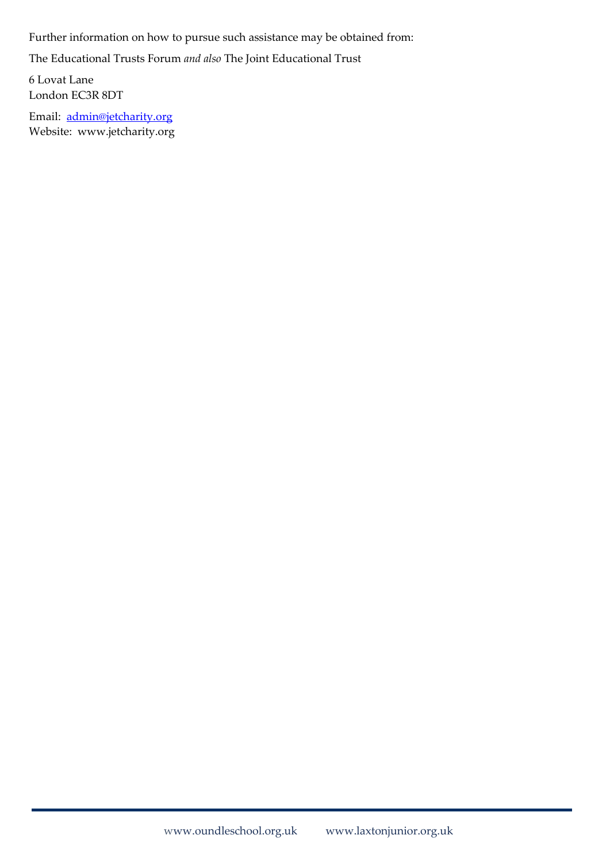Further information on how to pursue such assistance may be obtained from:

The Educational Trusts Forum *and also* The Joint Educational Trust

6 Lovat Lane London EC3R 8DT

Email: [admin@jetcharity.org](mailto:admin@jetcharity.org) Website: www.jetcharity.org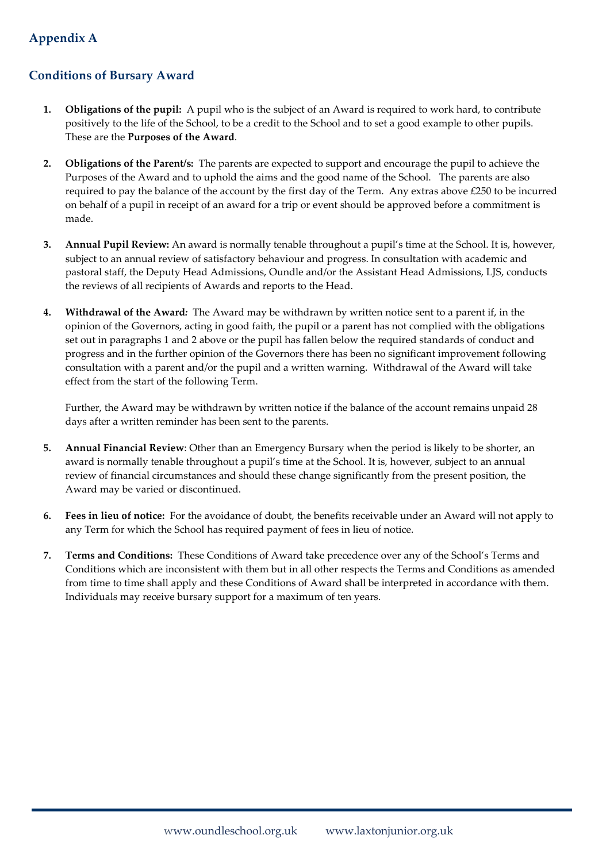### **Appendix A**

#### **Conditions of Bursary Award**

- **1. Obligations of the pupil:**A pupil who is the subject of an Award is required to work hard, to contribute positively to the life of the School, to be a credit to the School and to set a good example to other pupils. These are the **Purposes of the Award**.
- **2. Obligations of the Parent/s:** The parents are expected to support and encourage the pupil to achieve the Purposes of the Award and to uphold the aims and the good name of the School. The parents are also required to pay the balance of the account by the first day of the Term. Any extras above £250 to be incurred on behalf of a pupil in receipt of an award for a trip or event should be approved before a commitment is made.
- **3. Annual Pupil Review:** An award is normally tenable throughout a pupil's time at the School. It is, however, subject to an annual review of satisfactory behaviour and progress. In consultation with academic and pastoral staff, the Deputy Head Admissions, Oundle and/or the Assistant Head Admissions, LJS, conducts the reviews of all recipients of Awards and reports to the Head.
- **4. Withdrawal of the Award***:* The Award may be withdrawn by written notice sent to a parent if, in the opinion of the Governors, acting in good faith, the pupil or a parent has not complied with the obligations set out in paragraphs 1 and 2 above or the pupil has fallen below the required standards of conduct and progress and in the further opinion of the Governors there has been no significant improvement following consultation with a parent and/or the pupil and a written warning. Withdrawal of the Award will take effect from the start of the following Term.

Further, the Award may be withdrawn by written notice if the balance of the account remains unpaid 28 days after a written reminder has been sent to the parents.

- **5. Annual Financial Review**: Other than an Emergency Bursary when the period is likely to be shorter, an award is normally tenable throughout a pupil's time at the School. It is, however, subject to an annual review of financial circumstances and should these change significantly from the present position, the Award may be varied or discontinued.
- **6. Fees in lieu of notice:** For the avoidance of doubt, the benefits receivable under an Award will not apply to any Term for which the School has required payment of fees in lieu of notice.
- **7. Terms and Conditions:** These Conditions of Award take precedence over any of the School's Terms and Conditions which are inconsistent with them but in all other respects the Terms and Conditions as amended from time to time shall apply and these Conditions of Award shall be interpreted in accordance with them. Individuals may receive bursary support for a maximum of ten years.